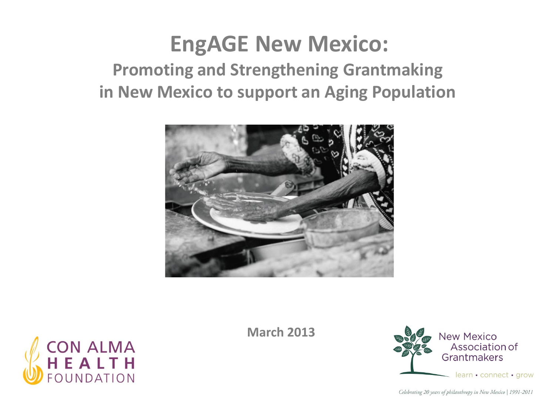### **EngAGE New Mexico: Promoting and Strengthening Grantmaking in New Mexico to support an Aging Population**





**March 2013**

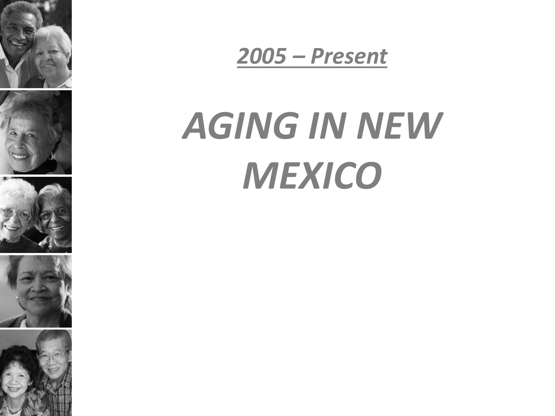











# *AGING IN NEW MEXICO*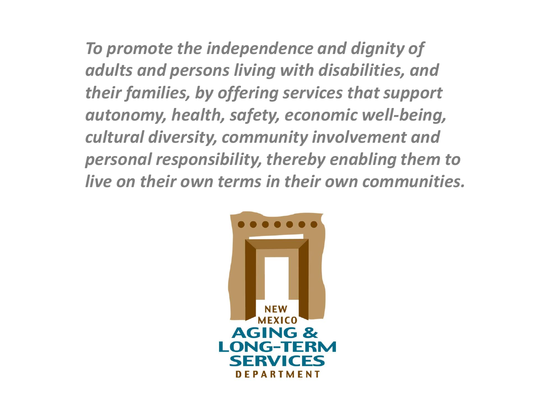*To promote the independence and dignity of adults and persons living with disabilities, and their families, by offering services that support autonomy, health, safety, economic well-being, cultural diversity, community involvement and personal responsibility, thereby enabling them to live on their own terms in their own communities.*

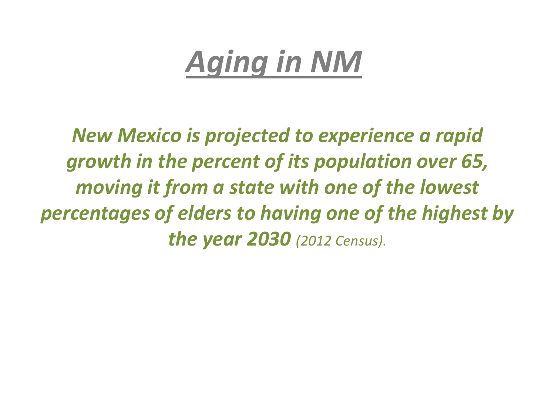## *Aging in NM*

*New Mexico is projected to experience a rapid growth in the percent of its population over 65, moving it from a state with one of the lowest percentages of elders to having one of the highest by the year 2030 (2012 Census).*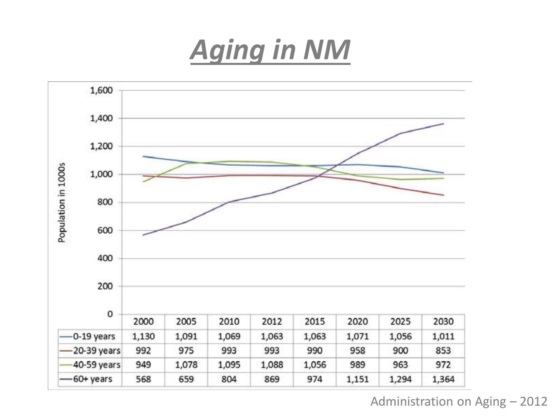### *Aging in NM*



Administration on Aging – 2012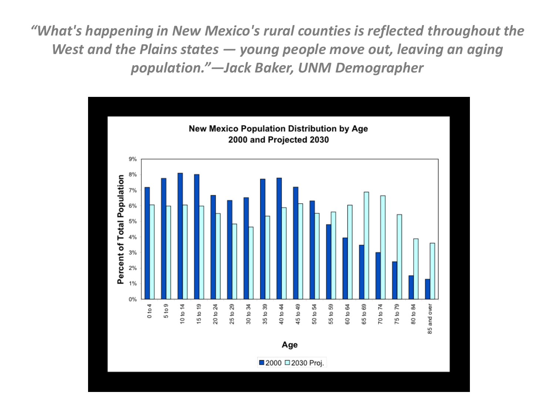*"What's happening in New Mexico's rural counties is reflected throughout the West and the Plains states — young people move out, leaving an aging population."—Jack Baker, UNM Demographer* 

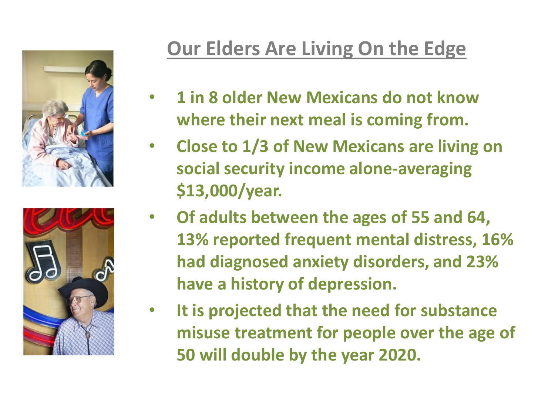



### **Our Elders Are Living On the Edge**

- **1 in 8 older New Mexicans do not know where their next meal is coming from.**
- **Close to 1/3 of New Mexicans are living on social security income alone-averaging \$13,000/year.**
- **Of adults between the ages of 55 and 64, 13% reported frequent mental distress, 16% had diagnosed anxiety disorders, and 23% have a history of depression.**
- **It is projected that the need for substance misuse treatment for people over the age of 50 will double by the year 2020.**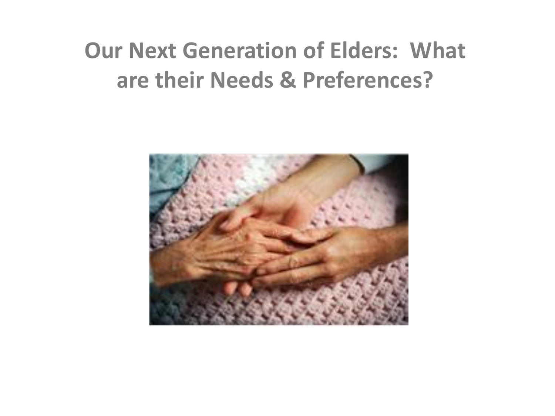### **Our Next Generation of Elders: What are their Needs & Preferences?**

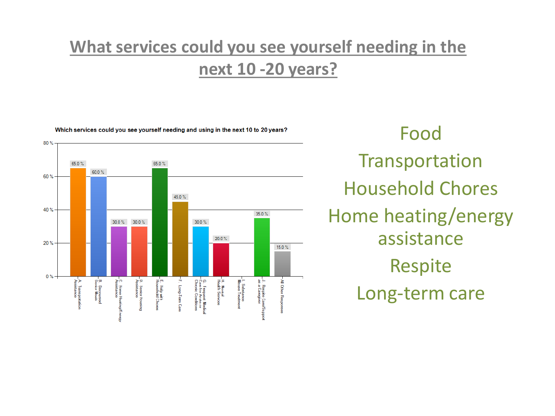#### **What services could you see yourself needing in the next 10 -20 years?**



Food Transportation Household Chores Home heating/energy assistance Respite Long-term care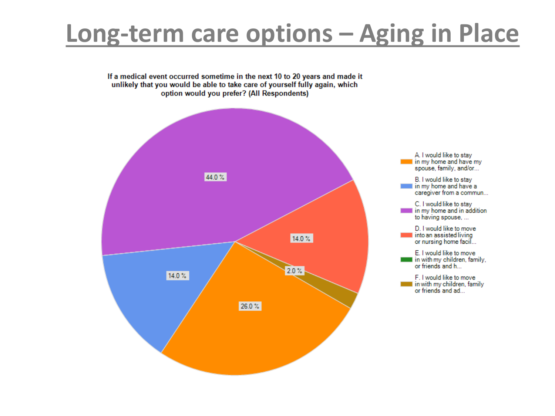### **Long-term care options – Aging in Place**

If a medical event occurred sometime in the next 10 to 20 years and made it unlikely that you would be able to take care of yourself fully again, which option would you prefer? (All Respondents)

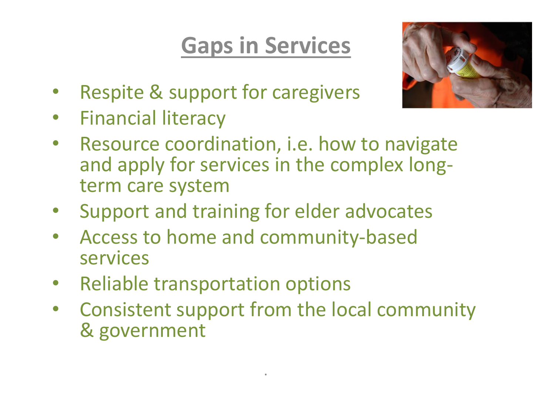### **Gaps in Services**



- Respite & support for caregivers
- Financial literacy
- Resource coordination, i.e. how to navigate and apply for services in the complex longterm care system
- Support and training for elder advocates
- Access to home and community-based services
- Reliable transportation options
- Consistent support from the local community & government

.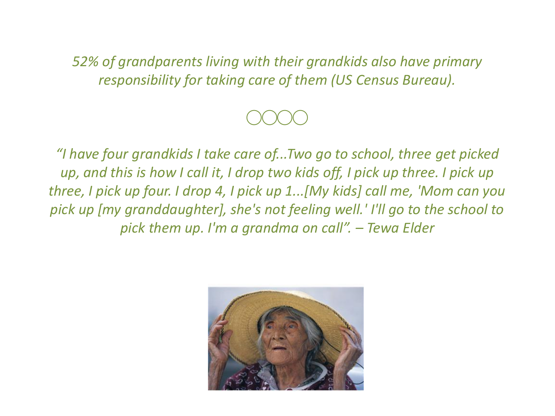*52% of grandparents living with their grandkids also have primary responsibility for taking care of them (US Census Bureau).* 



*"I have four grandkids I take care of...Two go to school, three get picked up, and this is how I call it, I drop two kids off, I pick up three. I pick up three, I pick up four. I drop 4, I pick up 1...[My kids] call me, 'Mom can you pick up [my granddaughter], she's not feeling well.' I'll go to the school to pick them up. I'm a grandma on call". – Tewa Elder*

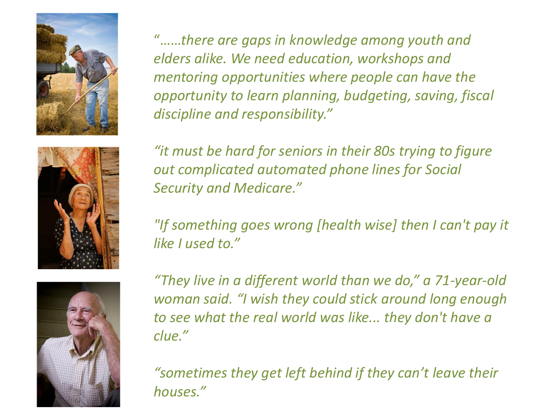





"……*there are gaps in knowledge among youth and elders alike. We need education, workshops and mentoring opportunities where people can have the opportunity to learn planning, budgeting, saving, fiscal discipline and responsibility."* 

*"it must be hard for seniors in their 80s trying to figure out complicated automated phone lines for Social Security and Medicare."*

*"If something goes wrong [health wise] then I can't pay it like I used to."* 

*"They live in a different world than we do," a 71-year-old woman said. "I wish they could stick around long enough to see what the real world was like... they don't have a clue."* 

*"sometimes they get left behind if they can't leave their houses."*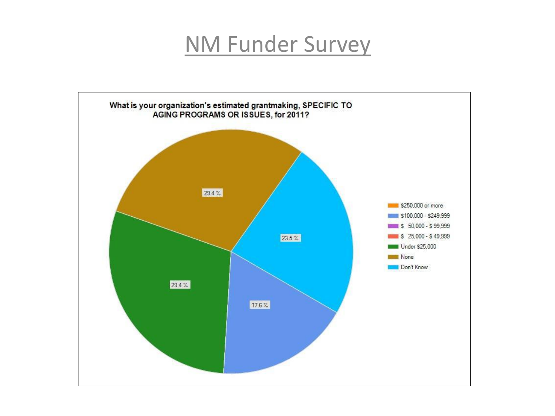#### NM Funder Survey

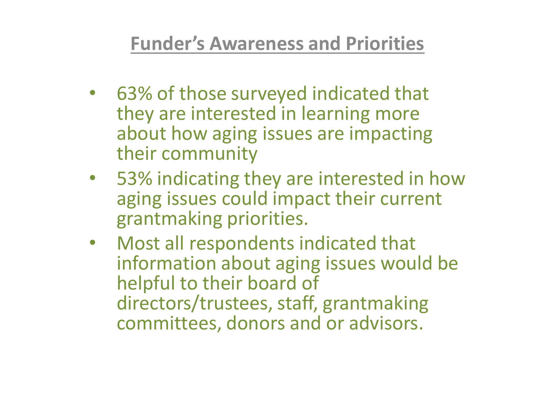#### **Funder's Awareness and Priorities**

- 63% of those surveyed indicated that they are interested in learning more about how aging issues are impacting their community
- 53% indicating they are interested in how aging issues could impact their current grantmaking priorities.
- Most all respondents indicated that information about aging issues would be helpful to their board of directors/trustees, staff, grantmaking committees, donors and or advisors.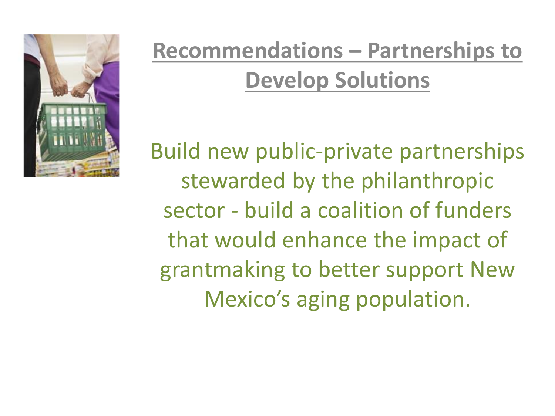

### **Recommendations – Partnerships to Develop Solutions**

Build new public-private partnerships stewarded by the philanthropic sector - build a coalition of funders that would enhance the impact of grantmaking to better support New Mexico's aging population.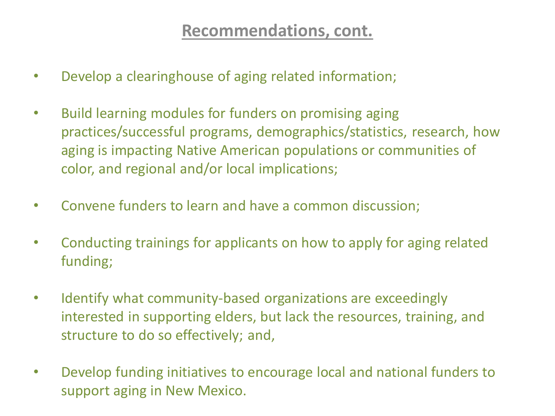#### **Recommendations, cont.**

- Develop a clearinghouse of aging related information;
- Build learning modules for funders on promising aging practices/successful programs, demographics/statistics, research, how aging is impacting Native American populations or communities of color, and regional and/or local implications;
- Convene funders to learn and have a common discussion;
- Conducting trainings for applicants on how to apply for aging related funding;
- Identify what community-based organizations are exceedingly interested in supporting elders, but lack the resources, training, and structure to do so effectively; and,
- Develop funding initiatives to encourage local and national funders to support aging in New Mexico.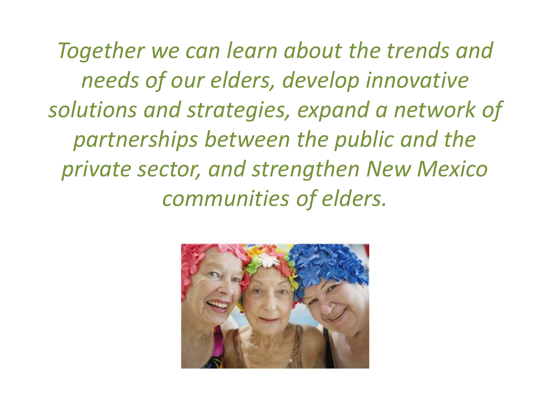*Together we can learn about the trends and needs of our elders, develop innovative solutions and strategies, expand a network of partnerships between the public and the private sector, and strengthen New Mexico communities of elders.* 

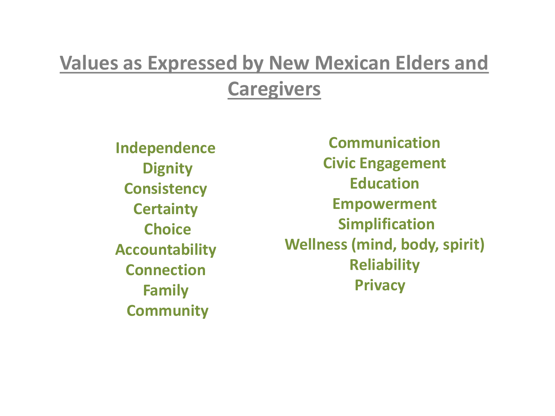### **Values as Expressed by New Mexican Elders and Caregivers**

**Independence Dignity Consistency Certainty Choice Accountability Connection Family Community** 

**Communication Civic Engagement Education Empowerment Simplification Wellness (mind, body, spirit) Reliability Privacy**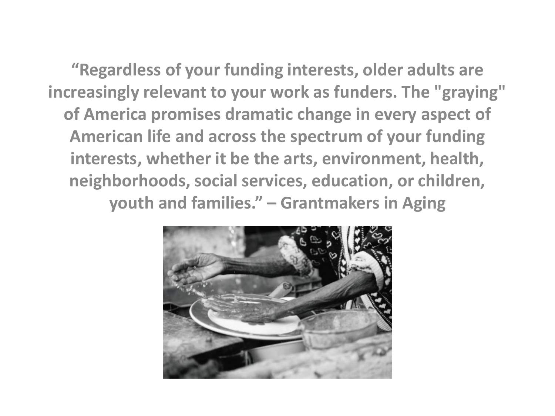**"Regardless of your funding interests, older adults are increasingly relevant to your work as funders. The "graying" of America promises dramatic change in every aspect of American life and across the spectrum of your funding interests, whether it be the arts, environment, health, neighborhoods, social services, education, or children, youth and families." – Grantmakers in Aging** 

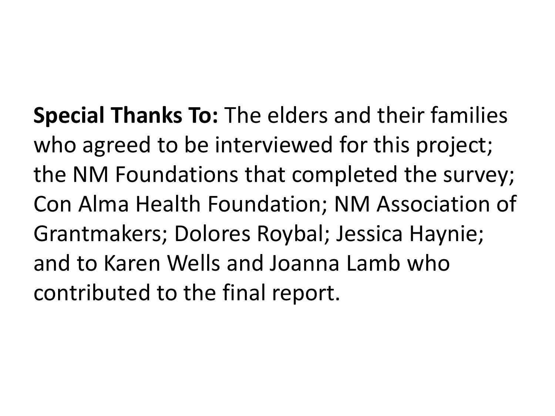**Special Thanks To:** The elders and their families who agreed to be interviewed for this project; the NM Foundations that completed the survey; Con Alma Health Foundation; NM Association of Grantmakers; Dolores Roybal; Jessica Haynie; and to Karen Wells and Joanna Lamb who contributed to the final report.